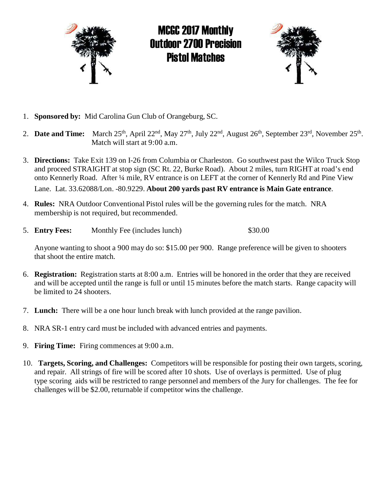

MCGC 2017 Monthly Outdoor 2700 Precision Pistol Matches



- 1. **Sponsored by:** Mid Carolina Gun Club of Orangeburg, SC.
- 2. **Date and Time:** March 25<sup>th</sup>, April 22<sup>nd</sup>, May 27<sup>th</sup>, July 22<sup>nd</sup>, August 26<sup>th</sup>, September 23<sup>rd</sup>, November 25<sup>th</sup>. Match will start at 9:00 a.m.
- 3. **Directions:** Take Exit 139 on I-26 from Columbia or Charleston. Go southwest past the Wilco Truck Stop and proceed STRAIGHT at stop sign (SC Rt. 22, Burke Road). About 2 miles, turn RIGHT at road's end onto Kennerly Road. After ¼ mile, RV entrance is on LEFT at the corner of Kennerly Rd and Pine View

Lane. Lat. 33.62088/Lon. -80.9229. **About 200 yards past RV entrance is Main Gate entrance**.

- 4. **Rules:** NRA Outdoor Conventional Pistol rules will be the governing rules for the match. NRA membership is not required, but recommended.
- 5. **Entry Fees:** Monthly Fee (includes lunch) \$30.00

 Anyone wanting to shoot a 900 may do so: \$15.00 per 900. Range preference will be given to shooters that shoot the entire match.

- 6. **Registration:** Registration starts at 8:00 a.m. Entries will be honored in the order that they are received and will be accepted until the range is full or until 15 minutes before the match starts. Range capacity will be limited to 24 shooters.
- 7. **Lunch:** There will be a one hour lunch break with lunch provided at the range pavilion.
- 8. NRA SR-1 entry card must be included with advanced entries and payments.
- 9. **Firing Time:** Firing commences at 9:00 a.m.
- 10. **Targets, Scoring, and Challenges:** Competitors will be responsible for posting their own targets, scoring, and repair. All strings of fire will be scored after 10 shots. Use of overlays is permitted. Use of plug type scoring aids will be restricted to range personnel and members of the Jury for challenges. The fee for challenges will be \$2.00, returnable if competitor wins the challenge.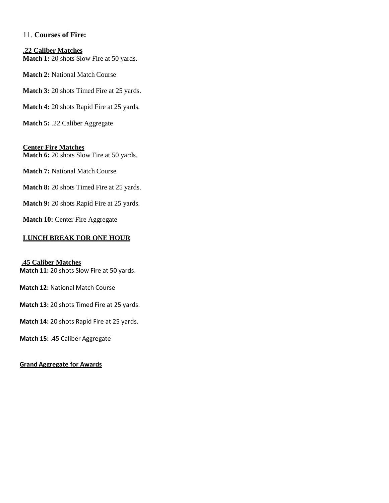## 11. **Courses of Fire:**

#### **.22 Caliber Matches Match 1:** 20 shots Slow Fire at 50 yards.

**Match 2:** National Match Course

**Match 3:** 20 shots Timed Fire at 25 yards.

**Match 4:** 20 shots Rapid Fire at 25 yards.

**Match 5:** .22 Caliber Aggregate

#### **Center Fire Matches Match 6:** 20 shots Slow Fire at 50 yards.

**Match 7:** National Match Course

**Match 8:** 20 shots Timed Fire at 25 yards.

**Match 9:** 20 shots Rapid Fire at 25 yards.

**Match 10:** Center Fire Aggregate

### **LUNCH BREAK FOR ONE HOUR**

#### **.45 Caliber Matches**

**Match 11:** 20 shots Slow Fire at 50 yards.

**Match 12:** National Match Course

**Match 13:** 20 shots Timed Fire at 25 yards.

**Match 14:** 20 shots Rapid Fire at 25 yards.

**Match 15:** .45 Caliber Aggregate

#### **Grand Aggregate for Awards**